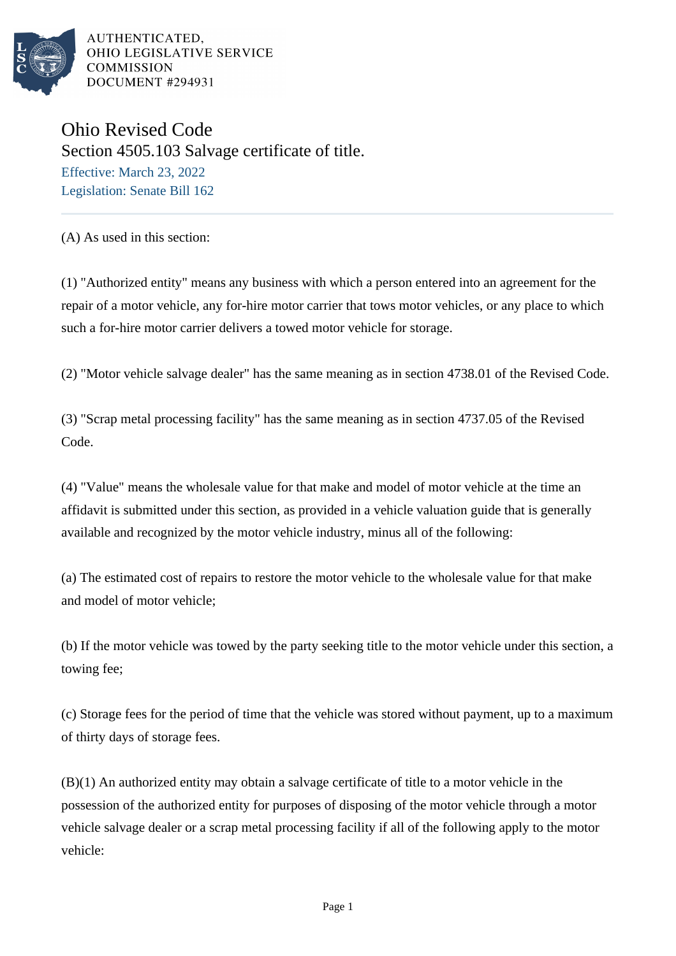

AUTHENTICATED. OHIO LEGISLATIVE SERVICE **COMMISSION DOCUMENT #294931** 

Ohio Revised Code Section 4505.103 Salvage certificate of title. Effective: March 23, 2022 Legislation: Senate Bill 162

(A) As used in this section:

(1) "Authorized entity" means any business with which a person entered into an agreement for the repair of a motor vehicle, any for-hire motor carrier that tows motor vehicles, or any place to which such a for-hire motor carrier delivers a towed motor vehicle for storage.

(2) "Motor vehicle salvage dealer" has the same meaning as in section 4738.01 of the Revised Code.

(3) "Scrap metal processing facility" has the same meaning as in section 4737.05 of the Revised Code.

(4) "Value" means the wholesale value for that make and model of motor vehicle at the time an affidavit is submitted under this section, as provided in a vehicle valuation guide that is generally available and recognized by the motor vehicle industry, minus all of the following:

(a) The estimated cost of repairs to restore the motor vehicle to the wholesale value for that make and model of motor vehicle;

(b) If the motor vehicle was towed by the party seeking title to the motor vehicle under this section, a towing fee;

(c) Storage fees for the period of time that the vehicle was stored without payment, up to a maximum of thirty days of storage fees.

(B)(1) An authorized entity may obtain a salvage certificate of title to a motor vehicle in the possession of the authorized entity for purposes of disposing of the motor vehicle through a motor vehicle salvage dealer or a scrap metal processing facility if all of the following apply to the motor vehicle: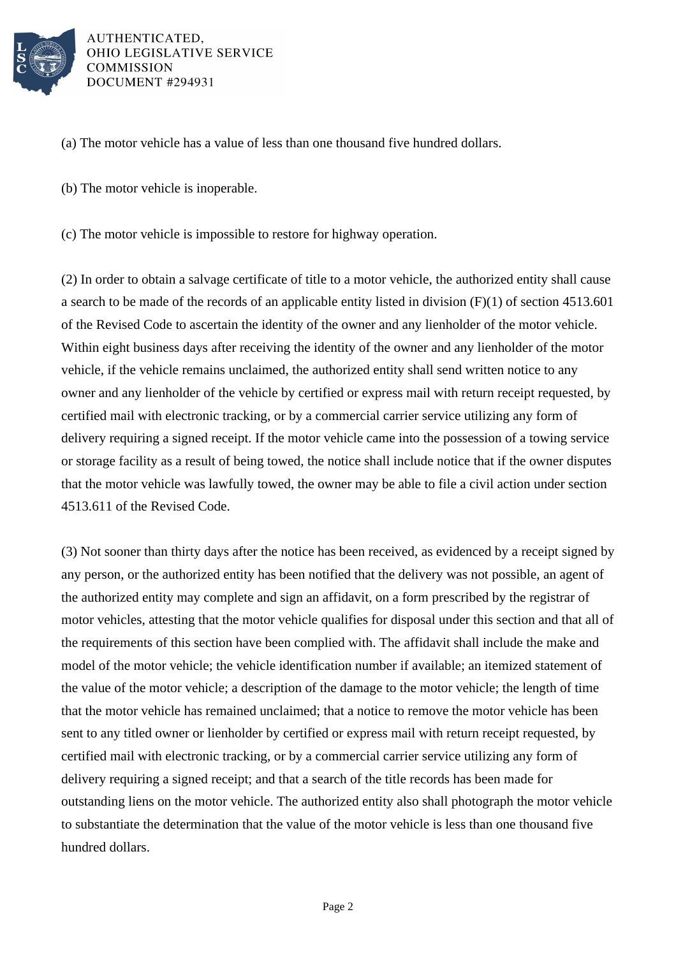

AUTHENTICATED. OHIO LEGISLATIVE SERVICE **COMMISSION DOCUMENT #294931** 

- (a) The motor vehicle has a value of less than one thousand five hundred dollars.
- (b) The motor vehicle is inoperable.
- (c) The motor vehicle is impossible to restore for highway operation.

(2) In order to obtain a salvage certificate of title to a motor vehicle, the authorized entity shall cause a search to be made of the records of an applicable entity listed in division  $(F)(1)$  of section 4513.601 of the Revised Code to ascertain the identity of the owner and any lienholder of the motor vehicle. Within eight business days after receiving the identity of the owner and any lienholder of the motor vehicle, if the vehicle remains unclaimed, the authorized entity shall send written notice to any owner and any lienholder of the vehicle by certified or express mail with return receipt requested, by certified mail with electronic tracking, or by a commercial carrier service utilizing any form of delivery requiring a signed receipt. If the motor vehicle came into the possession of a towing service or storage facility as a result of being towed, the notice shall include notice that if the owner disputes that the motor vehicle was lawfully towed, the owner may be able to file a civil action under section 4513.611 of the Revised Code.

(3) Not sooner than thirty days after the notice has been received, as evidenced by a receipt signed by any person, or the authorized entity has been notified that the delivery was not possible, an agent of the authorized entity may complete and sign an affidavit, on a form prescribed by the registrar of motor vehicles, attesting that the motor vehicle qualifies for disposal under this section and that all of the requirements of this section have been complied with. The affidavit shall include the make and model of the motor vehicle; the vehicle identification number if available; an itemized statement of the value of the motor vehicle; a description of the damage to the motor vehicle; the length of time that the motor vehicle has remained unclaimed; that a notice to remove the motor vehicle has been sent to any titled owner or lienholder by certified or express mail with return receipt requested, by certified mail with electronic tracking, or by a commercial carrier service utilizing any form of delivery requiring a signed receipt; and that a search of the title records has been made for outstanding liens on the motor vehicle. The authorized entity also shall photograph the motor vehicle to substantiate the determination that the value of the motor vehicle is less than one thousand five hundred dollars.